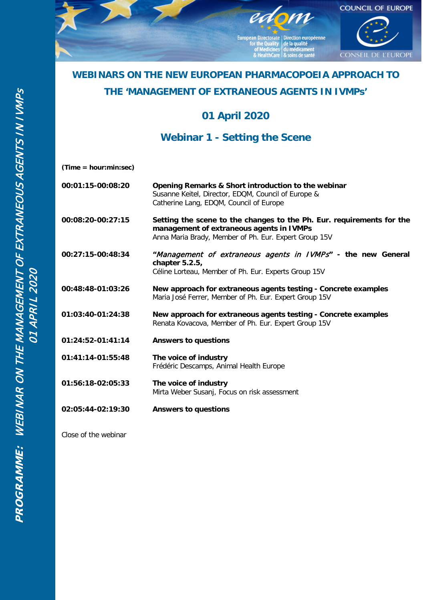

# **WEBINARS ON THE NEW EUROPEAN PHARMACOPOEIA APPROACH TO**

### **THE 'MANAGEMENT OF EXTRANEOUS AGENTS IN IVMPs'**

**01 April 2020** 

**Webinar 1 - Setting the Scene**

|  | (Time = hour:min:sec) |  |
|--|-----------------------|--|
|--|-----------------------|--|

|                                                       | 00:01:15-00:08:20 | Opening Remarks & Short introduction to the webinar<br>Susanne Keitel, Director, EDQM, Council of Europe &<br>Catherine Lang, EDQM, Council of Europe                      |
|-------------------------------------------------------|-------------------|----------------------------------------------------------------------------------------------------------------------------------------------------------------------------|
|                                                       | 00:08:20-00:27:15 | Setting the scene to the changes to the Ph. Eur. requirements for the<br>management of extraneous agents in IVMPs<br>Anna Maria Brady, Member of Ph. Eur. Expert Group 15V |
| INAR ON THE MANAGEMENT OF EXTRANEOUS<br>01 APRIL 2020 | 00:27:15-00:48:34 | "Management of extraneous agents in IVMPs" - the new General<br>chapter $5.2.5$ ,<br>Céline Lorteau, Member of Ph. Eur. Experts Group 15V                                  |
|                                                       | 00:48:48-01:03:26 | New approach for extraneous agents testing - Concrete examples<br>Maria José Ferrer, Member of Ph. Eur. Expert Group 15V                                                   |
|                                                       | 01:03:40-01:24:38 | New approach for extraneous agents testing - Concrete examples<br>Renata Kovacova, Member of Ph. Eur. Expert Group 15V                                                     |
|                                                       | 01:24:52-01:41:14 | <b>Answers to questions</b>                                                                                                                                                |
|                                                       | 01:41:14-01:55:48 | The voice of industry<br>Frédéric Descamps, Animal Health Europe                                                                                                           |
|                                                       | 01:56:18-02:05:33 | The voice of industry<br>Mirta Weber Susanj, Focus on risk assessment                                                                                                      |
|                                                       | 02:05:44-02:19:30 | <b>Answers to questions</b>                                                                                                                                                |

Close of the webinar